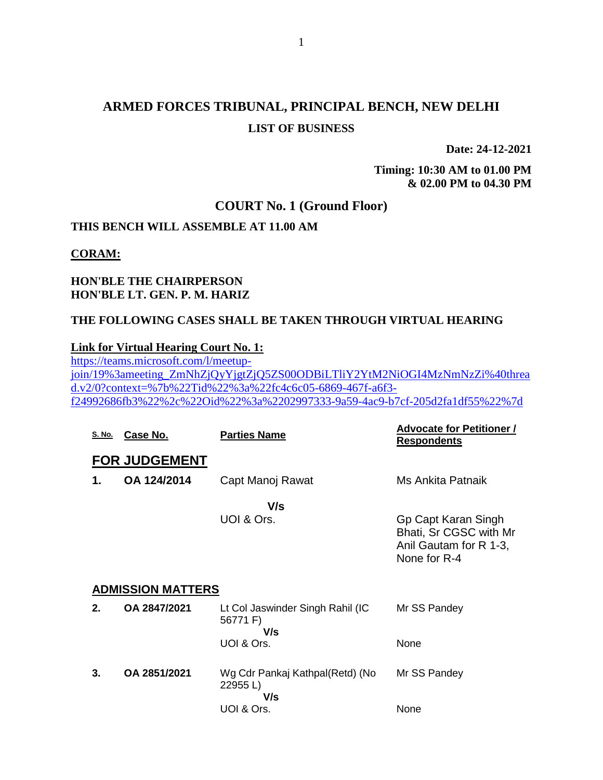# **ARMED FORCES TRIBUNAL, PRINCIPAL BENCH, NEW DELHI LIST OF BUSINESS**

**Date: 24-12-2021**

**Timing: 10:30 AM to 01.00 PM & 02.00 PM to 04.30 PM**

### **COURT No. 1 (Ground Floor)**

### **THIS BENCH WILL ASSEMBLE AT 11.00 AM**

#### **CORAM:**

### **HON'BLE THE CHAIRPERSON HON'BLE LT. GEN. P. M. HARIZ**

### **THE FOLLOWING CASES SHALL BE TAKEN THROUGH VIRTUAL HEARING**

### **Link for Virtual Hearing Court No. 1:**

[https://teams.microsoft.com/l/meetup](https://teams.microsoft.com/l/meetup-join/19%3ameeting_ZmNhZjQyYjgtZjQ5ZS00ODBiLTliY2YtM2NiOGI4MzNmNzZi%40thread.v2/0?context=%7b%22Tid%22%3a%22fc4c6c05-6869-467f-a6f3-f24992686fb3%22%2c%22Oid%22%3a%2202997333-9a59-4ac9-b7cf-205d2fa1df55%22%7d)[join/19%3ameeting\\_ZmNhZjQyYjgtZjQ5ZS00ODBiLTliY2YtM2NiOGI4MzNmNzZi%40threa](https://teams.microsoft.com/l/meetup-join/19%3ameeting_ZmNhZjQyYjgtZjQ5ZS00ODBiLTliY2YtM2NiOGI4MzNmNzZi%40thread.v2/0?context=%7b%22Tid%22%3a%22fc4c6c05-6869-467f-a6f3-f24992686fb3%22%2c%22Oid%22%3a%2202997333-9a59-4ac9-b7cf-205d2fa1df55%22%7d) [d.v2/0?context=%7b%22Tid%22%3a%22fc4c6c05-6869-467f-a6f3](https://teams.microsoft.com/l/meetup-join/19%3ameeting_ZmNhZjQyYjgtZjQ5ZS00ODBiLTliY2YtM2NiOGI4MzNmNzZi%40thread.v2/0?context=%7b%22Tid%22%3a%22fc4c6c05-6869-467f-a6f3-f24992686fb3%22%2c%22Oid%22%3a%2202997333-9a59-4ac9-b7cf-205d2fa1df55%22%7d) [f24992686fb3%22%2c%22Oid%22%3a%2202997333-9a59-4ac9-b7cf-205d2fa1df55%22%7d](https://teams.microsoft.com/l/meetup-join/19%3ameeting_ZmNhZjQyYjgtZjQ5ZS00ODBiLTliY2YtM2NiOGI4MzNmNzZi%40thread.v2/0?context=%7b%22Tid%22%3a%22fc4c6c05-6869-467f-a6f3-f24992686fb3%22%2c%22Oid%22%3a%2202997333-9a59-4ac9-b7cf-205d2fa1df55%22%7d)

| <u>S. No.</u> | Case No.                 | <b>Parties Name</b>                                 | <b>Advocate for Petitioner /</b><br><b>Respondents</b>                                  |
|---------------|--------------------------|-----------------------------------------------------|-----------------------------------------------------------------------------------------|
|               | <b>FOR JUDGEMENT</b>     |                                                     |                                                                                         |
| 1.            | OA 124/2014              | Capt Manoj Rawat                                    | Ms Ankita Patnaik                                                                       |
|               |                          | V/s<br>UOI & Ors.                                   | Gp Capt Karan Singh<br>Bhati, Sr CGSC with Mr<br>Anil Gautam for R 1-3,<br>None for R-4 |
|               | <b>ADMISSION MATTERS</b> |                                                     |                                                                                         |
| 2.            | OA 2847/2021             | Lt Col Jaswinder Singh Rahil (IC<br>56771 F)<br>V/s | Mr SS Pandey                                                                            |
|               |                          | UOI & Ors.                                          | None                                                                                    |
| 3.            | OA 2851/2021             | Wg Cdr Pankaj Kathpal(Retd) (No<br>22955 L)<br>V/s  | Mr SS Pandey                                                                            |
|               |                          | UOI & Ors.                                          | None                                                                                    |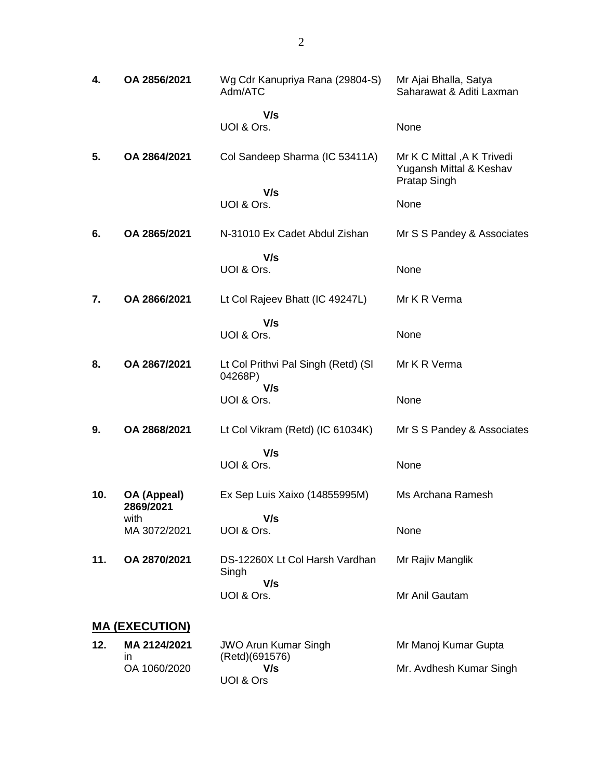| 4.  | OA 2856/2021             | Wg Cdr Kanupriya Rana (29804-S)<br>Adm/ATC            | Mr Ajai Bhalla, Satya<br>Saharawat & Aditi Laxman                            |
|-----|--------------------------|-------------------------------------------------------|------------------------------------------------------------------------------|
|     |                          | V/s<br>UOI & Ors.                                     | None                                                                         |
| 5.  | OA 2864/2021             | Col Sandeep Sharma (IC 53411A)                        | Mr K C Mittal, A K Trivedi<br>Yugansh Mittal & Keshav<br><b>Pratap Singh</b> |
|     |                          | V/s<br>UOI & Ors.                                     | None                                                                         |
| 6.  | OA 2865/2021             | N-31010 Ex Cadet Abdul Zishan                         | Mr S S Pandey & Associates                                                   |
|     |                          | V/s<br>UOI & Ors.                                     | None                                                                         |
| 7.  | OA 2866/2021             | Lt Col Rajeev Bhatt (IC 49247L)                       | Mr K R Verma                                                                 |
|     |                          | V/s<br>UOI & Ors.                                     | None                                                                         |
| 8.  | OA 2867/2021             | Lt Col Prithvi Pal Singh (Retd) (SI<br>04268P)<br>V/s | Mr K R Verma                                                                 |
|     |                          | UOI & Ors.                                            | None                                                                         |
| 9.  | OA 2868/2021             | Lt Col Vikram (Retd) (IC 61034K)                      | Mr S S Pandey & Associates                                                   |
|     |                          | V/s<br>UOI & Ors.                                     | None                                                                         |
| 10. | OA (Appeal)<br>2869/2021 | Ex Sep Luis Xaixo (14855995M)                         | Ms Archana Ramesh                                                            |
|     | with<br>MA 3072/2021     | V/s<br>UOI & Ors.                                     | None                                                                         |
| 11. | OA 2870/2021             | DS-12260X Lt Col Harsh Vardhan<br>Singh               | Mr Rajiv Manglik                                                             |
|     |                          | V/s<br>UOI & Ors.                                     | Mr Anil Gautam                                                               |
|     | <u>MA (EXECUTION)</u>    |                                                       |                                                                              |
| 12. | MA 2124/2021<br>in       | <b>JWO Arun Kumar Singh</b><br>(Retd)(691576)         | Mr Manoj Kumar Gupta                                                         |
|     | OA 1060/2020             | V/s<br>UOI & Ors                                      | Mr. Avdhesh Kumar Singh                                                      |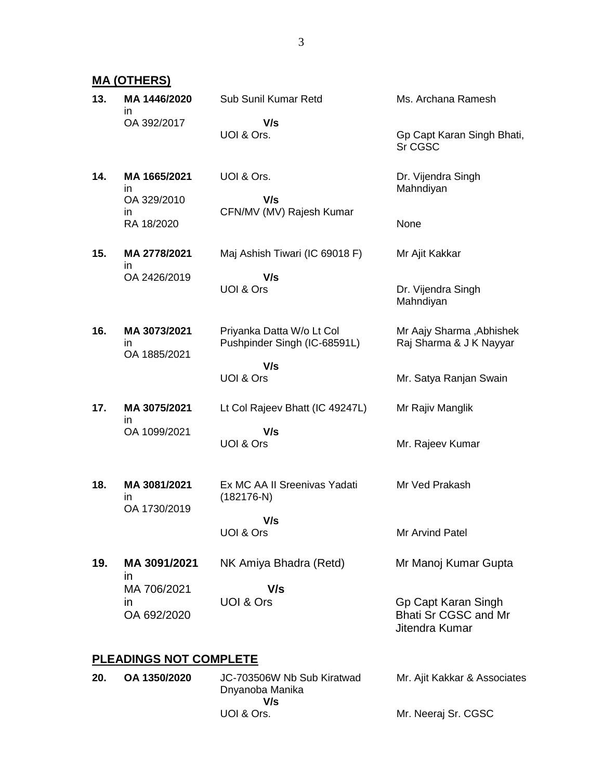**MA (OTHERS)**

| 13. | MA 1446/2020<br>in.                     | Sub Sunil Kumar Retd                                      | Ms. Archana Ramesh                                            |
|-----|-----------------------------------------|-----------------------------------------------------------|---------------------------------------------------------------|
|     | OA 392/2017                             | V/s<br>UOI & Ors.                                         | Gp Capt Karan Singh Bhati,<br>Sr CGSC                         |
| 14. | MA 1665/2021<br>in<br>OA 329/2010<br>in | UOI & Ors.<br>V/s<br>CFN/MV (MV) Rajesh Kumar             | Dr. Vijendra Singh<br>Mahndiyan                               |
|     | RA 18/2020                              |                                                           | None                                                          |
| 15. | MA 2778/2021<br>in.                     | Maj Ashish Tiwari (IC 69018 F)                            | Mr Ajit Kakkar                                                |
|     | OA 2426/2019                            | V/s<br>UOI & Ors                                          | Dr. Vijendra Singh<br>Mahndiyan                               |
| 16. | MA 3073/2021<br>in<br>OA 1885/2021      | Priyanka Datta W/o Lt Col<br>Pushpinder Singh (IC-68591L) | Mr Aajy Sharma, Abhishek<br>Raj Sharma & J K Nayyar           |
|     |                                         | V/s<br>UOI & Ors                                          | Mr. Satya Ranjan Swain                                        |
| 17. | MA 3075/2021<br>in                      | Lt Col Rajeev Bhatt (IC 49247L)                           | Mr Rajiv Manglik                                              |
|     | OA 1099/2021                            | V/s<br>UOI & Ors                                          | Mr. Rajeev Kumar                                              |
| 18. | MA 3081/2021<br>in<br>OA 1730/2019      | Ex MC AA II Sreenivas Yadati<br>$(182176-N)$              | Mr Ved Prakash                                                |
|     |                                         | V/s<br>UOI & Ors                                          | Mr Arvind Patel                                               |
|     |                                         |                                                           |                                                               |
| 19. | MA 3091/2021<br>in                      | NK Amiya Bhadra (Retd)                                    | Mr Manoj Kumar Gupta                                          |
|     | MA 706/2021<br><i>in</i><br>OA 692/2020 | V/s<br>UOI & Ors                                          | Gp Capt Karan Singh<br>Bhati Sr CGSC and Mr<br>Jitendra Kumar |
|     | <b>PLEADINGS NOT COMPLETE</b>           |                                                           |                                                               |
| 20. | OA 1350/2020                            | JC-703506W Nb Sub Kiratwad<br>Dnyanoba Manika<br>V/s      | Mr. Ajit Kakkar & Associates                                  |

UOI & Ors.

Mr. Neeraj Sr. CGSC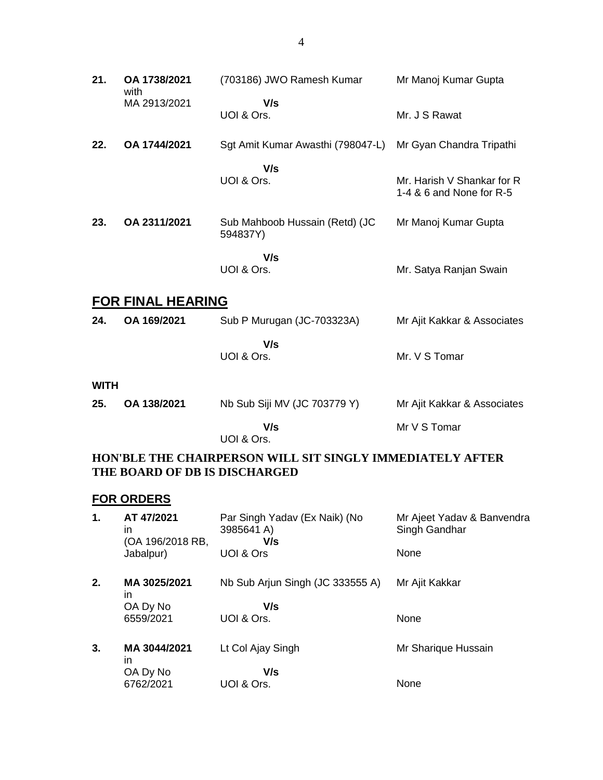| 21.                                                                                        | OA 1738/2021<br>with     | (703186) JWO Ramesh Kumar                  | Mr Manoj Kumar Gupta                                   |
|--------------------------------------------------------------------------------------------|--------------------------|--------------------------------------------|--------------------------------------------------------|
|                                                                                            | MA 2913/2021             | V/s<br>UOI & Ors.                          | Mr. J S Rawat                                          |
| 22.                                                                                        | OA 1744/2021             | Sgt Amit Kumar Awasthi (798047-L)          | Mr Gyan Chandra Tripathi                               |
|                                                                                            |                          | V/s<br>UOI & Ors.                          | Mr. Harish V Shankar for R<br>1-4 & 6 and None for R-5 |
| 23.                                                                                        | OA 2311/2021             | Sub Mahboob Hussain (Retd) (JC<br>594837Y) | Mr Manoj Kumar Gupta                                   |
|                                                                                            |                          | V/s<br>UOI & Ors.                          | Mr. Satya Ranjan Swain                                 |
|                                                                                            | <b>FOR FINAL HEARING</b> |                                            |                                                        |
| 24.                                                                                        | OA 169/2021              | Sub P Murugan (JC-703323A)                 | Mr Ajit Kakkar & Associates                            |
|                                                                                            |                          | V/s<br>UOI & Ors.                          | Mr. V S Tomar                                          |
| <b>WITH</b>                                                                                |                          |                                            |                                                        |
| 25.                                                                                        | OA 138/2021              | Nb Sub Siji MV (JC 703779 Y)               | Mr Ajit Kakkar & Associates                            |
|                                                                                            |                          | V/s<br>UOI & Ors.                          | Mr V S Tomar                                           |
| HON'BLE THE CHAIRPERSON WILL SIT SINGLY IMMEDIATELY AFTER<br>THE BOARD OF DB IS DISCHARGED |                          |                                            |                                                        |

## **FOR ORDERS**

| 1. | AT 47/2021<br>in<br>(OA 196/2018 RB, | Par Singh Yadav (Ex Naik) (No<br>3985641 A)<br>V/s | Mr Ajeet Yadav & Banvendra<br>Singh Gandhar |
|----|--------------------------------------|----------------------------------------------------|---------------------------------------------|
|    | Jabalpur)                            | UOI & Ors                                          | None                                        |
| 2. | MA 3025/2021<br>ın                   | Nb Sub Arjun Singh (JC 333555 A)                   | Mr Ajit Kakkar                              |
|    | OA Dy No                             | V/s                                                |                                             |
|    | 6559/2021                            | UOI & Ors.                                         | None                                        |
| 3. | MA 3044/2021<br>ın                   | Lt Col Ajay Singh                                  | Mr Sharique Hussain                         |
|    | OA Dy No                             | V/s                                                |                                             |
|    | 6762/2021                            | UOI & Ors.                                         | None                                        |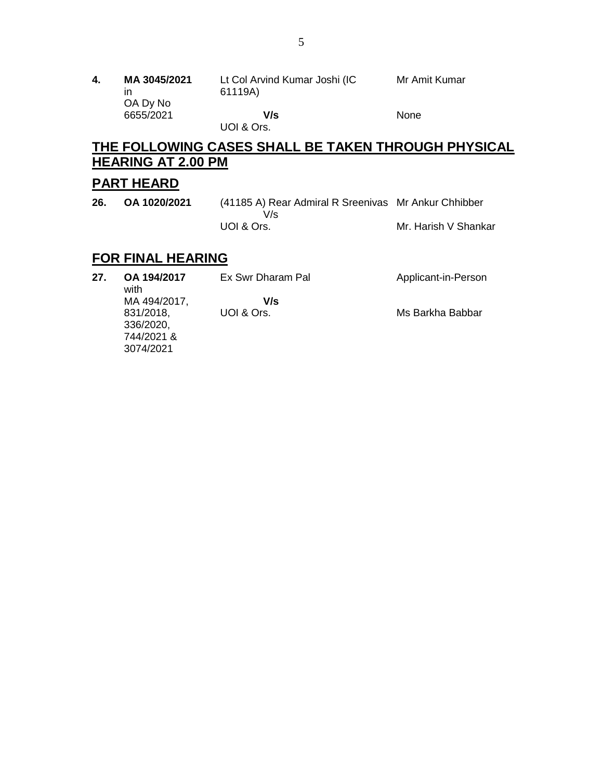| 4. | MA 3045/2021<br>ın<br>OA Dy No | Lt Col Arvind Kumar Joshi (IC<br>61119A) | Mr Amit Kumar |
|----|--------------------------------|------------------------------------------|---------------|
|    | 6655/2021                      | V/s                                      | None          |
|    |                                | UOI & Ors.                               |               |

# **THE FOLLOWING CASES SHALL BE TAKEN THROUGH PHYSICAL HEARING AT 2.00 PM**

## **PART HEARD**

**26. OA 1020/2021** (41185 A) Rear Admiral R Sreenivas Mr Ankur Chhibber V/s UOI & Ors. Mr. Harish V Shankar

# **FOR FINAL HEARING**

| 27. | OA 194/2017<br>with | Ex Swr Dharam Pal | Applicant-in-Person |
|-----|---------------------|-------------------|---------------------|
|     | MA 494/2017,        | V/s               |                     |
|     | 831/2018,           | UOI & Ors.        | Ms Barkha Babbar    |
|     | 336/2020,           |                   |                     |
|     | 744/2021 &          |                   |                     |
|     | 3074/2021           |                   |                     |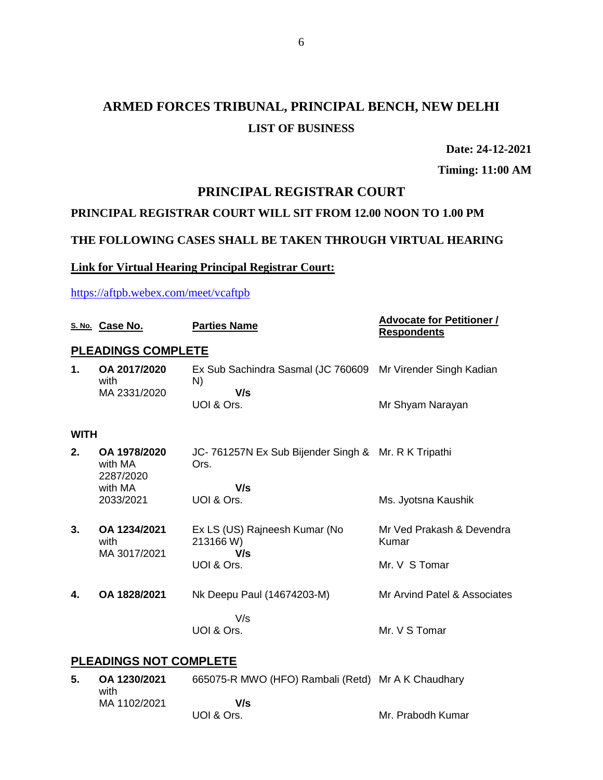# **ARMED FORCES TRIBUNAL, PRINCIPAL BENCH, NEW DELHI LIST OF BUSINESS**

**Date: 24-12-2021**

**Timing: 11:00 AM**

### **PRINCIPAL REGISTRAR COURT**

### **PRINCIPAL REGISTRAR COURT WILL SIT FROM 12.00 NOON TO 1.00 PM**

### **THE FOLLOWING CASES SHALL BE TAKEN THROUGH VIRTUAL HEARING**

#### **Link for Virtual Hearing Principal Registrar Court:**

<https://aftpb.webex.com/meet/vcaftpb>

|             | S. No. Case No.                      | <b>Parties Name</b>                                         | <b>Advocate for Petitioner /</b><br><b>Respondents</b> |
|-------------|--------------------------------------|-------------------------------------------------------------|--------------------------------------------------------|
|             | <b>PLEADINGS COMPLETE</b>            |                                                             |                                                        |
| 1.          | OA 2017/2020<br>with<br>MA 2331/2020 | Ex Sub Sachindra Sasmal (JC 760609<br>N)<br>V/s             | Mr Virender Singh Kadian                               |
|             |                                      | UOI & Ors.                                                  | Mr Shyam Narayan                                       |
| <b>WITH</b> |                                      |                                                             |                                                        |
| 2.          | OA 1978/2020<br>with MA<br>2287/2020 | JC-761257N Ex Sub Bijender Singh & Mr. R K Tripathi<br>Ors. |                                                        |
|             | with MA<br>2033/2021                 | V/s<br>UOI & Ors.                                           | Ms. Jyotsna Kaushik                                    |
| 3.          | OA 1234/2021<br>with<br>MA 3017/2021 | Ex LS (US) Rajneesh Kumar (No<br>213166 W)<br>V/s           | Mr Ved Prakash & Devendra<br>Kumar                     |
|             |                                      | UOI & Ors.                                                  | Mr. V S Tomar                                          |
| 4.          | OA 1828/2021                         | Nk Deepu Paul (14674203-M)                                  | Mr Arvind Patel & Associates                           |
|             |                                      | V/s<br>UOI & Ors.                                           | Mr. V S Tomar                                          |
|             |                                      |                                                             |                                                        |

### **PLEADINGS NOT COMPLETE**

**5. OA 1230/2021** with MA 1102/2021 665075-R MWO (HFO) Rambali (Retd) Mr A K Chaudhary  **V/s** UOI & Ors. Mr. Prabodh Kumar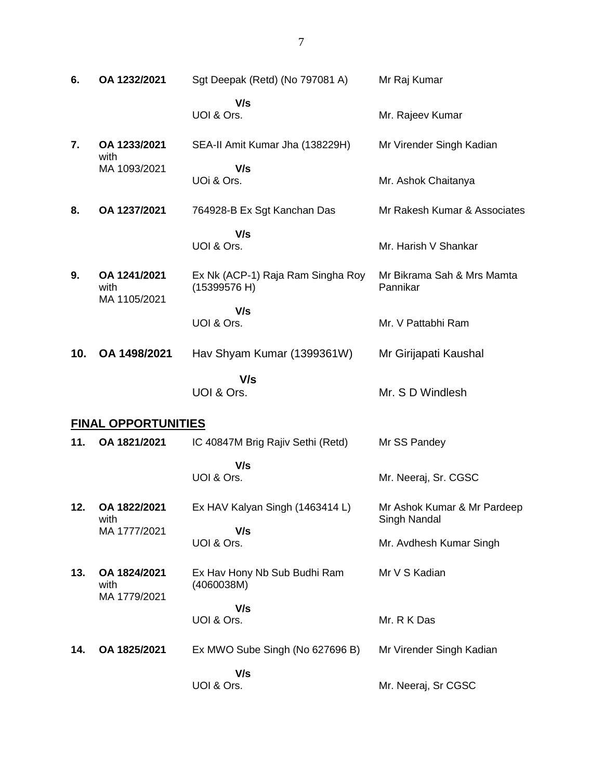| 6.  | OA 1232/2021                         | Sgt Deepak (Retd) (No 797081 A)                   | Mr Raj Kumar                                |
|-----|--------------------------------------|---------------------------------------------------|---------------------------------------------|
|     |                                      | V/s<br>UOI & Ors.                                 | Mr. Rajeev Kumar                            |
| 7.  | OA 1233/2021<br>with                 | SEA-II Amit Kumar Jha (138229H)                   | Mr Virender Singh Kadian                    |
|     | MA 1093/2021                         | V/s<br>UOi & Ors.                                 | Mr. Ashok Chaitanya                         |
| 8.  | OA 1237/2021                         | 764928-B Ex Sgt Kanchan Das                       | Mr Rakesh Kumar & Associates                |
|     |                                      | V/s<br>UOI & Ors.                                 | Mr. Harish V Shankar                        |
| 9.  | OA 1241/2021<br>with<br>MA 1105/2021 | Ex Nk (ACP-1) Raja Ram Singha Roy<br>(15399576 H) | Mr Bikrama Sah & Mrs Mamta<br>Pannikar      |
|     |                                      | V/s<br>UOI & Ors.                                 | Mr. V Pattabhi Ram                          |
| 10. | OA 1498/2021                         | Hav Shyam Kumar (1399361W)                        | Mr Girijapati Kaushal                       |
|     |                                      | V/s                                               |                                             |
|     |                                      | UOI & Ors.                                        | Mr. S D Windlesh                            |
|     | <b>FINAL OPPORTUNITIES</b>           |                                                   |                                             |
| 11. | OA 1821/2021                         | IC 40847M Brig Rajiv Sethi (Retd)                 | Mr SS Pandey                                |
|     |                                      | V/s<br>UOI & Ors.                                 | Mr. Neeraj, Sr. CGSC                        |
| 12. | OA 1822/2021<br>with                 | Ex HAV Kalyan Singh (1463414 L)                   | Mr Ashok Kumar & Mr Pardeep<br>Singh Nandal |
|     | MA 1777/2021                         | V/s<br>UOI & Ors.                                 | Mr. Avdhesh Kumar Singh                     |
| 13. | OA 1824/2021<br>with<br>MA 1779/2021 | Ex Hav Hony Nb Sub Budhi Ram<br>(4060038M)        | Mr V S Kadian                               |
|     |                                      | V/s<br>UOI & Ors.                                 | Mr. R K Das                                 |
| 14. | OA 1825/2021                         | Ex MWO Sube Singh (No 627696 B)                   | Mr Virender Singh Kadian                    |
|     |                                      | V/s<br>UOI & Ors.                                 | Mr. Neeraj, Sr CGSC                         |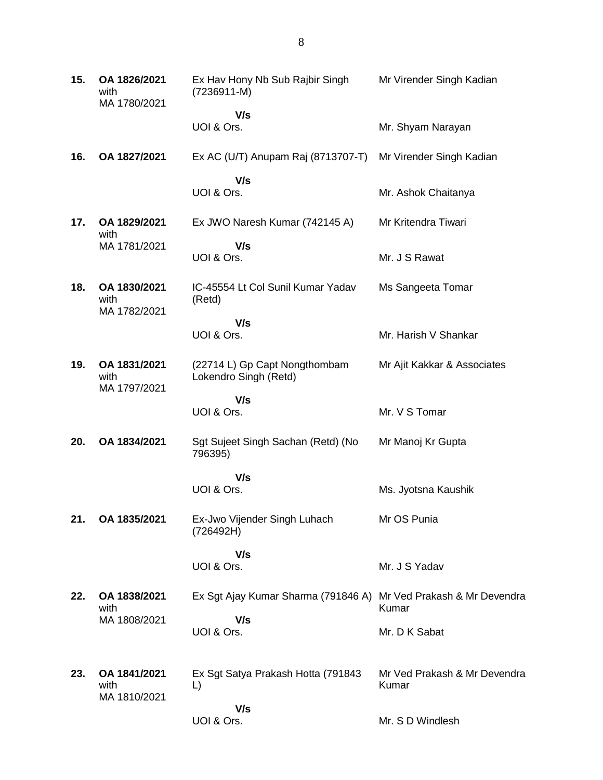| 15. | OA 1826/2021<br>with<br>MA 1780/2021 | Ex Hav Hony Nb Sub Rajbir Singh<br>$(7236911 - M)$               | Mr Virender Singh Kadian              |
|-----|--------------------------------------|------------------------------------------------------------------|---------------------------------------|
|     |                                      | V/s<br>UOI & Ors.                                                | Mr. Shyam Narayan                     |
| 16. | OA 1827/2021                         | Ex AC (U/T) Anupam Raj (8713707-T)                               | Mr Virender Singh Kadian              |
|     |                                      | V/s<br>UOI & Ors.                                                | Mr. Ashok Chaitanya                   |
| 17. | OA 1829/2021<br>with                 | Ex JWO Naresh Kumar (742145 A)                                   | Mr Kritendra Tiwari                   |
|     | MA 1781/2021                         | V/s<br>UOI & Ors.                                                | Mr. J S Rawat                         |
| 18. | OA 1830/2021<br>with<br>MA 1782/2021 | IC-45554 Lt Col Sunil Kumar Yadav<br>(Retd)                      | Ms Sangeeta Tomar                     |
|     |                                      | V/s<br>UOI & Ors.                                                | Mr. Harish V Shankar                  |
| 19. | OA 1831/2021<br>with<br>MA 1797/2021 | (22714 L) Gp Capt Nongthombam<br>Lokendro Singh (Retd)           | Mr Ajit Kakkar & Associates           |
|     |                                      | V/s<br>UOI & Ors.                                                | Mr. V S Tomar                         |
| 20. | OA 1834/2021                         | Sgt Sujeet Singh Sachan (Retd) (No<br>796395)                    | Mr Manoj Kr Gupta                     |
|     |                                      | V/s<br>UOI & Ors.                                                | Ms. Jyotsna Kaushik                   |
| 21. | OA 1835/2021                         | Ex-Jwo Vijender Singh Luhach<br>(726492H)                        | Mr OS Punia                           |
|     |                                      | V/s<br>UOI & Ors.                                                | Mr. J S Yadav                         |
| 22. | OA 1838/2021<br>with                 | Ex Sgt Ajay Kumar Sharma (791846 A) Mr Ved Prakash & Mr Devendra | Kumar                                 |
|     | MA 1808/2021                         | V/s<br>UOI & Ors.                                                | Mr. D K Sabat                         |
| 23. | OA 1841/2021<br>with<br>MA 1810/2021 | Ex Sgt Satya Prakash Hotta (791843<br>L)                         | Mr Ved Prakash & Mr Devendra<br>Kumar |
|     |                                      | V/s<br>UOI & Ors.                                                | Mr. S D Windlesh                      |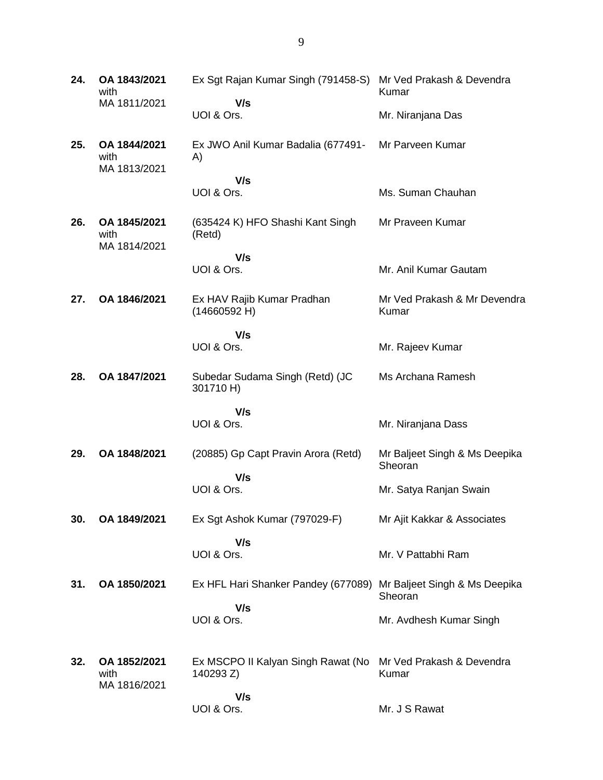| 24. | OA 1843/2021<br>with                 | Ex Sgt Rajan Kumar Singh (791458-S)                               | Mr Ved Prakash & Devendra<br>Kumar       |
|-----|--------------------------------------|-------------------------------------------------------------------|------------------------------------------|
|     | MA 1811/2021                         | V/s<br>UOI & Ors.                                                 | Mr. Niranjana Das                        |
| 25. | OA 1844/2021<br>with<br>MA 1813/2021 | Ex JWO Anil Kumar Badalia (677491-<br>A)                          | Mr Parveen Kumar                         |
|     |                                      | V/s<br>UOI & Ors.                                                 | Ms. Suman Chauhan                        |
| 26. | OA 1845/2021<br>with<br>MA 1814/2021 | (635424 K) HFO Shashi Kant Singh<br>(Retd)                        | Mr Praveen Kumar                         |
|     |                                      | V/s<br>UOI & Ors.                                                 | Mr. Anil Kumar Gautam                    |
| 27. | OA 1846/2021                         | Ex HAV Rajib Kumar Pradhan<br>(14660592 H)                        | Mr Ved Prakash & Mr Devendra<br>Kumar    |
|     |                                      | V/s<br>UOI & Ors.                                                 | Mr. Rajeev Kumar                         |
| 28. | OA 1847/2021                         | Subedar Sudama Singh (Retd) (JC<br>301710 H)                      | Ms Archana Ramesh                        |
|     |                                      | V/s<br>UOI & Ors.                                                 | Mr. Niranjana Dass                       |
| 29. | OA 1848/2021                         | (20885) Gp Capt Pravin Arora (Retd)                               | Mr Baljeet Singh & Ms Deepika<br>Sheoran |
|     |                                      | V/s<br>UOI & Ors.                                                 | Mr. Satya Ranjan Swain                   |
| 30. | OA 1849/2021                         | Ex Sgt Ashok Kumar (797029-F)                                     | Mr Ajit Kakkar & Associates              |
|     |                                      | V/s<br>UOI & Ors.                                                 | Mr. V Pattabhi Ram                       |
| 31. | OA 1850/2021                         | Ex HFL Hari Shanker Pandey (677089) Mr Baljeet Singh & Ms Deepika | Sheoran                                  |
|     |                                      | V/s<br>UOI & Ors.                                                 | Mr. Avdhesh Kumar Singh                  |
| 32. | OA 1852/2021<br>with<br>MA 1816/2021 | Ex MSCPO II Kalyan Singh Rawat (No<br>140293 Z)                   | Mr Ved Prakash & Devendra<br>Kumar       |
|     |                                      | V/s<br>UOI & Ors.                                                 | Mr. J S Rawat                            |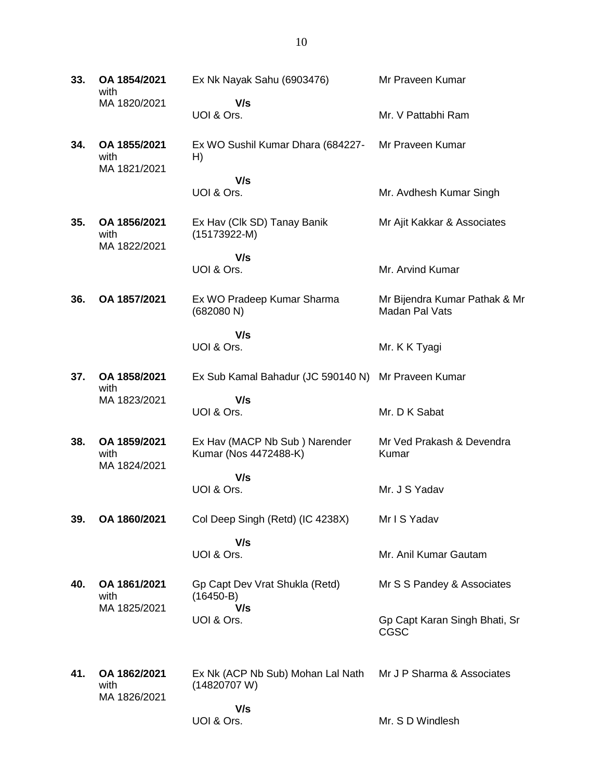**33. OA 1854/2021** with MA 1820/2021 Ex Nk Nayak Sahu (6903476)  **V/s** UOI & Ors. Mr Praveen Kumar Mr. V Pattabhi Ram **34. OA 1855/2021** with MA 1821/2021 Ex WO Sushil Kumar Dhara (684227- H)  **V/s** UOI & Ors. Mr Praveen Kumar Mr. Avdhesh Kumar Singh **35. OA 1856/2021** with MA 1822/2021 Ex Hav (Clk SD) Tanay Banik (15173922-M)  **V/s** UOI & Ors. Mr Ajit Kakkar & Associates Mr. Arvind Kumar **36. OA 1857/2021** Ex WO Pradeep Kumar Sharma (682080 N)  **V/s** UOI & Ors. Mr Bijendra Kumar Pathak & Mr Madan Pal Vats Mr. K K Tyagi **37. OA 1858/2021** with MA 1823/2021 Ex Sub Kamal Bahadur (JC 590140 N) Mr Praveen Kumar  **V/s** UOI & Ors. Mr. D K Sabat **38. OA 1859/2021** with MA 1824/2021 Ex Hav (MACP Nb Sub ) Narender Kumar (Nos 4472488-K)  **V/s** UOI & Ors. Mr Ved Prakash & Devendra Kumar Mr. J S Yadav **39. OA 1860/2021** Col Deep Singh (Retd) (IC 4238X)  **V/s** UOI & Ors. Mr I S Yadav Mr. Anil Kumar Gautam **40. OA 1861/2021** with MA 1825/2021 Gp Capt Dev Vrat Shukla (Retd) (16450-B)  **V/s** UOI & Ors. Mr S S Pandey & Associates Gp Capt Karan Singh Bhati, Sr CGSC **41. OA 1862/2021** with MA 1826/2021 Ex Nk (ACP Nb Sub) Mohan Lal Nath (14820707 W)  **V/s** UOI & Ors. Mr J P Sharma & Associates Mr. S D Windlesh